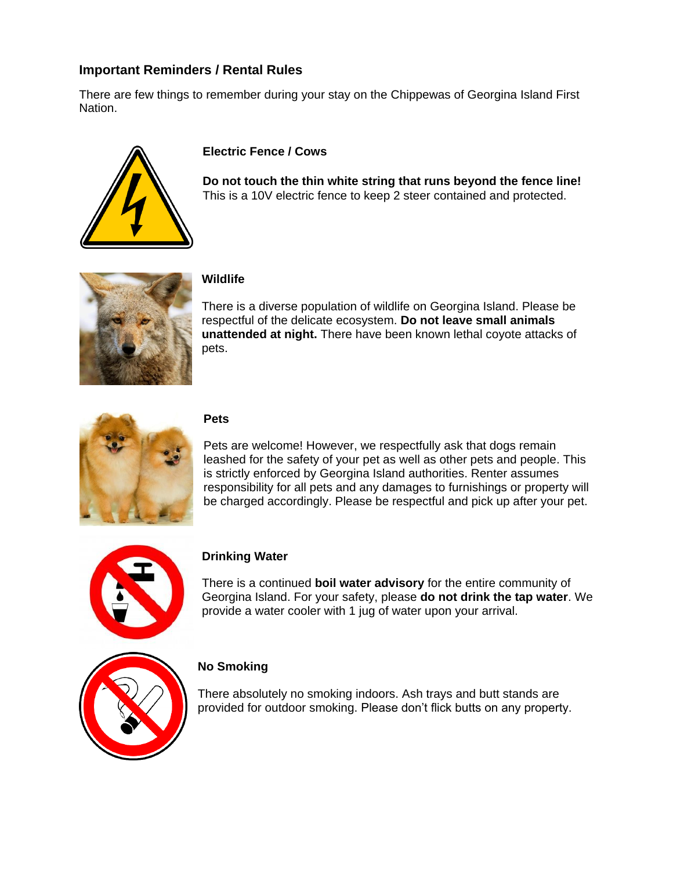## **Important Reminders / Rental Rules**

There are few things to remember during your stay on the Chippewas of Georgina Island First Nation.



#### **Electric Fence / Cows**

**Do not touch the thin white string that runs beyond the fence line!** This is a 10V electric fence to keep 2 steer contained and protected.



#### **Wildlife**

There is a diverse population of wildlife on Georgina Island. Please be respectful of the delicate ecosystem. **Do not leave small animals unattended at night.** There have been known lethal coyote attacks of pets.



#### **Pets**

Pets are welcome! However, we respectfully ask that dogs remain leashed for the safety of your pet as well as other pets and people. This is strictly enforced by Georgina Island authorities. Renter assumes responsibility for all pets and any damages to furnishings or property will be charged accordingly. Please be respectful and pick up after your pet.



## **Drinking Water**

There is a continued **boil water advisory** for the entire community of Georgina Island. For your safety, please **do not drink the tap water**. We provide a water cooler with 1 jug of water upon your arrival.



## **No Smoking**

There absolutely no smoking indoors. Ash trays and butt stands are provided for outdoor smoking. Please don't flick butts on any property.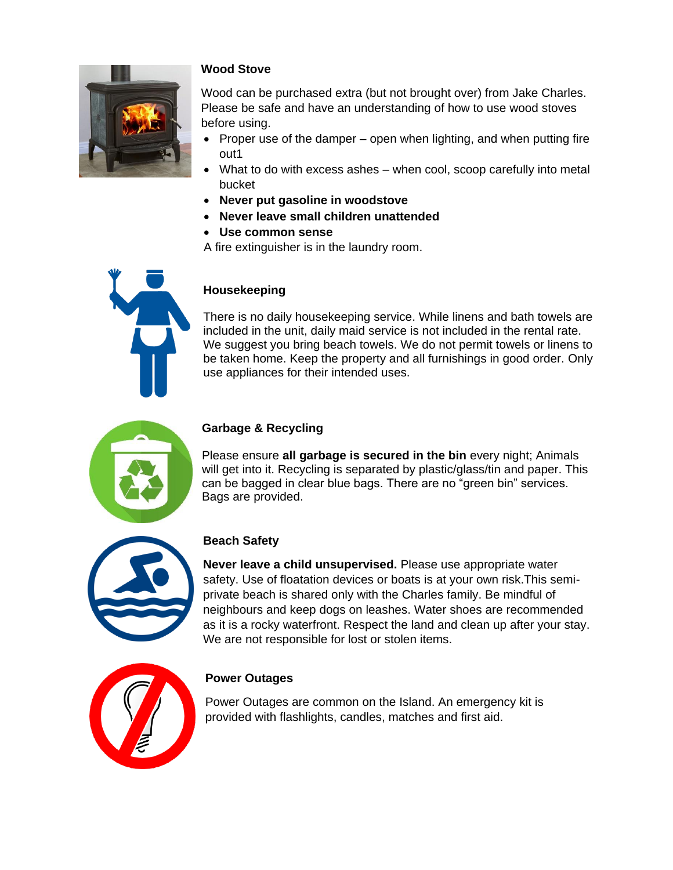

## **Wood Stove**

Wood can be purchased extra (but not brought over) from Jake Charles. Please be safe and have an understanding of how to use wood stoves before using.

- Proper use of the damper  $-$  open when lighting, and when putting fire out1
- What to do with excess ashes when cool, scoop carefully into metal bucket
- **Never put gasoline in woodstove**
- **Never leave small children unattended**
- **Use common sense**
- A fire extinguisher is in the laundry room.



#### **Housekeeping**

There is no daily housekeeping service. While linens and bath towels are included in the unit, daily maid service is not included in the rental rate. We suggest you bring beach towels. We do not permit towels or linens to be taken home. Keep the property and all furnishings in good order. Only use appliances for their intended uses.



#### **Garbage & Recycling**

Please ensure **all garbage is secured in the bin** every night; Animals will get into it. Recycling is separated by plastic/glass/tin and paper. This can be bagged in clear blue bags. There are no "green bin" services. Bags are provided.



## **Beach Safety**

**Never leave a child unsupervised.** Please use appropriate water safety. Use of floatation devices or boats is at your own risk.This semiprivate beach is shared only with the Charles family. Be mindful of neighbours and keep dogs on leashes. Water shoes are recommended as it is a rocky waterfront. Respect the land and clean up after your stay. We are not responsible for lost or stolen items.



#### **Power Outages**

Power Outages are common on the Island. An emergency kit is provided with flashlights, candles, matches and first aid.